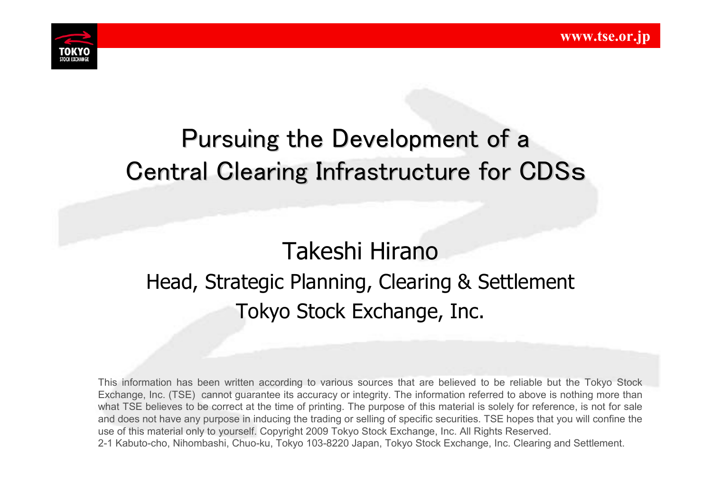

# Pursuing the Development of a Central Clearing Infrastructure for CDSs

# Takeshi Hirano Head, Strategic Planning, Clearing & Settlement Tokyo Stock Exchange, Inc.

This information has been written according to various sources that are believed to be reliable but the Tokyo Stock Exchange, Inc. (TSE) cannot guarantee its accuracy or integrity. The information referred to above is nothing more than what TSE believes to be correct at the time of printing. The purpose of this material is solely for reference, is not for sale and does not have any purpose in inducing the trading or selling of specific securities. TSE hopes that you will confine the use of this material only to yourself. Copyright 2009 Tokyo Stock Exchange, Inc. All Rights Reserved. 2-1 Kabuto-cho, Nihombashi, Chuo-ku, Tokyo 103-8220 Japan, Tokyo Stock Exchange, Inc. Clearing and Settlement.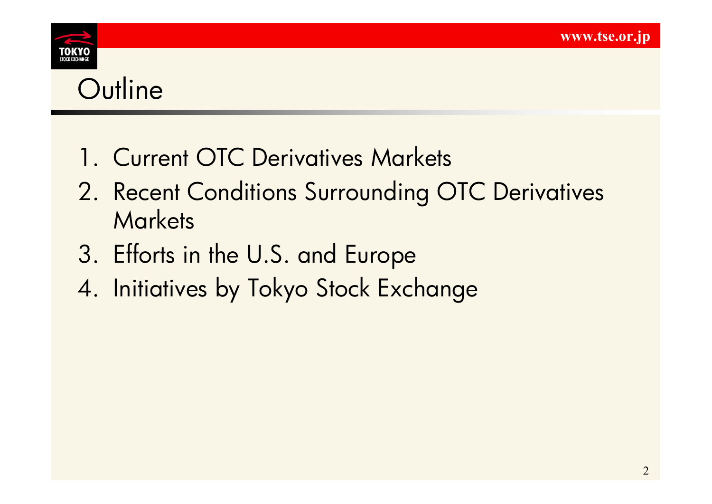

**Outline** 

- 1. Current OTC Derivatives Markets
- 2. Recent Conditions Surrounding OTC Derivatives **Markets**
- 3. Efforts in the U.S. and Europe
- 4. Initiatives by Tokyo Stock Exchange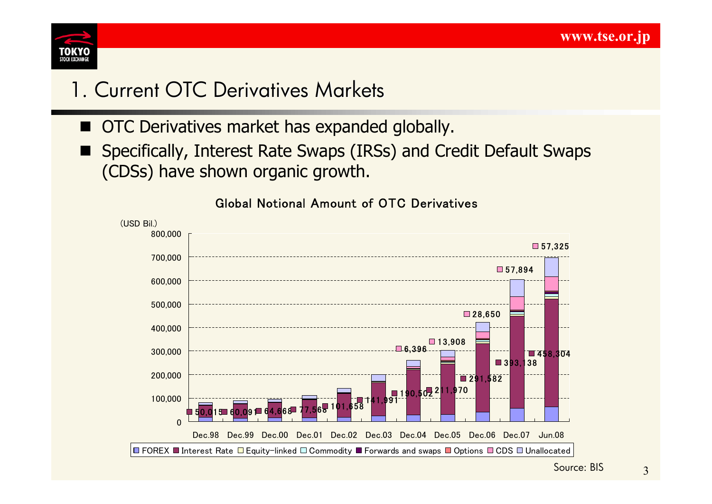

## 1. Current OTC Derivatives Markets

- OTC Derivatives market has expanded globally.
- Specifically, Interest Rate Swaps (IRSs) and Credit Default Swaps (CDSs) have shown organic growth.



### Global Notional Amount of OTC Derivatives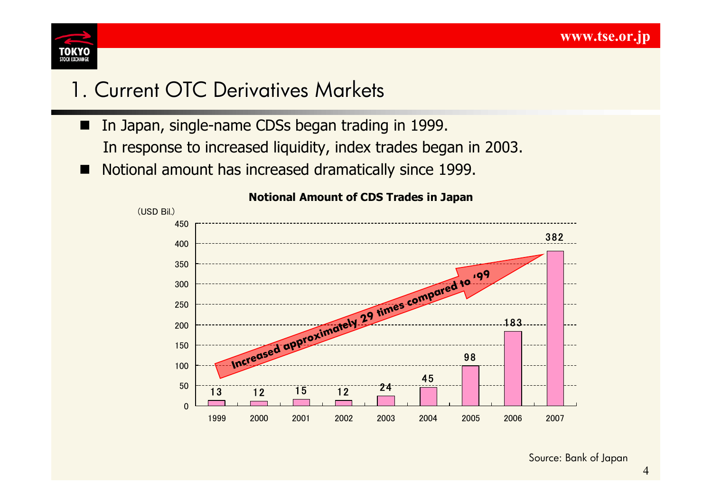

## 1. Current OTC Derivatives Markets

- In Japan, single-name CDSs began trading in 1999. In response to increased liquidity, index trades began in 2003.
- Notional amount has increased dramatically since 1999.



#### **Notional Amount of CDS Trades in Japan**

Source: Bank of Japan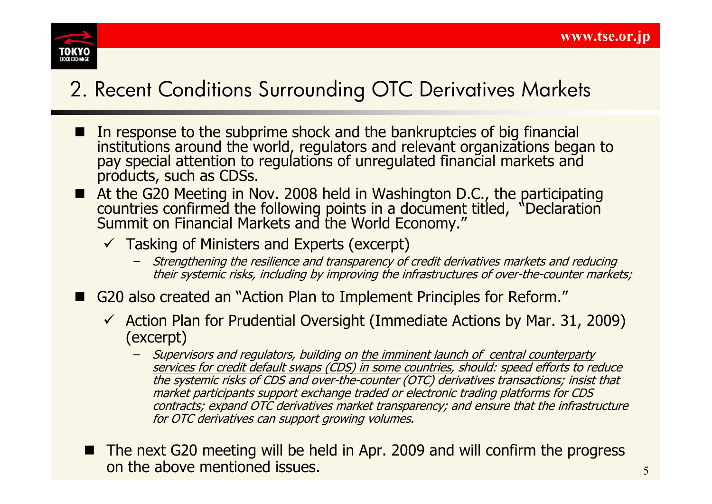

# 2. Recent Conditions Surrounding OTC Derivatives Markets

- In response to the subprime shock and the bankruptcies of big financial institutions around the world, regulators and relevant organizations began to pay special attention to regulations of unregulated financial markets and products, such as CDSs.
- At the G20 Meeting in Nov. 2008 held in Washington D.C., the participating countries confirmed the following points in a document titled, "Declaration Summit on Financial Markets and the World Economy."
	- $\checkmark$  Tasking of Ministers and Experts (excerpt)
		- Strengthening the resilience and transparency of credit derivatives markets and reducing their systemic risks, including by improving the infrastructures of over-the-counter markets;
- G20 also created an "Action Plan to Implement Principles for Reform."
	- $\checkmark$  Action Plan for Prudential Oversight (Immediate Actions by Mar. 31, 2009) (excerpt)
		- Supervisors and regulators, building on the imminent launch of central counterparty services for credit default swaps (CDS) in some countries, should: speed efforts to reduce the systemic risks of CDS and over-the-counter (OTC) derivatives transactions; insist that market participants support exchange traded or electronic trading platforms for CDS contracts; expand OTC derivatives market transparency; and ensure that the infrastructure for OTC derivatives can support growing volumes.
	- The next G20 meeting will be held in Apr. 2009 and will confirm the progress on the above mentioned issues.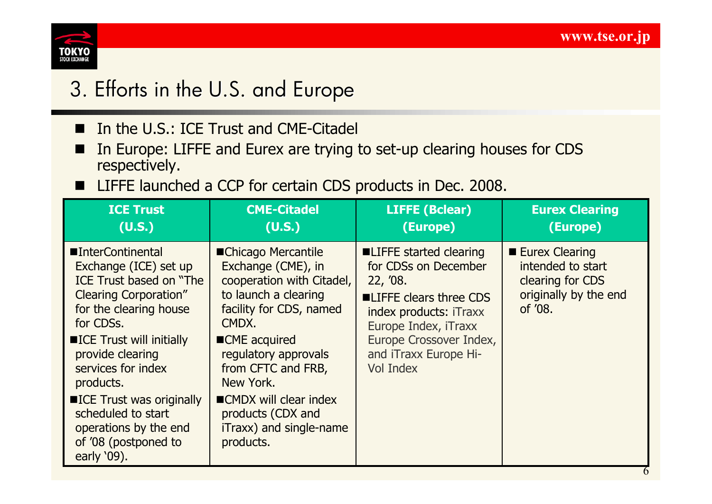

# 3. Efforts in the U.S. and Europe 3. Efforts in the U.S. and Europe

- In the U.S.: ICE Trust and CME-Citadel
- In Europe: LIFFE and Eurex are trying to set-up clearing houses for CDS respectively.
- LIFFE launched a CCP for certain CDS products in Dec. 2008.

| <b>ICE Trust</b>                                                                                                                                                                                                                                                                                                                                    | <b>CME-Citadel</b>                                                                                                                                                                                                                                                                                    | <b>LIFFE (Bclear)</b>                                                                                                                                                                                     | <b>Eurex Clearing</b>                                                                              |
|-----------------------------------------------------------------------------------------------------------------------------------------------------------------------------------------------------------------------------------------------------------------------------------------------------------------------------------------------------|-------------------------------------------------------------------------------------------------------------------------------------------------------------------------------------------------------------------------------------------------------------------------------------------------------|-----------------------------------------------------------------------------------------------------------------------------------------------------------------------------------------------------------|----------------------------------------------------------------------------------------------------|
| (U.S.)                                                                                                                                                                                                                                                                                                                                              | (U.S.)                                                                                                                                                                                                                                                                                                | (Europe)                                                                                                                                                                                                  | (Europe)                                                                                           |
| ■InterContinental<br>Exchange (ICE) set up<br>ICE Trust based on "The<br><b>Clearing Corporation"</b><br>for the clearing house<br>for CDSs.<br>■ICE Trust will initially<br>provide clearing<br>services for index<br>products.<br>■ICE Trust was originally<br>scheduled to start<br>operations by the end<br>of '08 (postponed to<br>early '09). | ■Chicago Mercantile<br>Exchange (CME), in<br>cooperation with Citadel,<br>to launch a clearing<br>facility for CDS, named<br>CMDX.<br>■CME acquired<br>regulatory approvals<br>from CFTC and FRB,<br>New York.<br>■CMDX will clear index<br>products (CDX and<br>iTraxx) and single-name<br>products. | ■LIFFE started clearing<br>for CDSs on December<br>22, '08.<br>■LIFFE clears three CDS<br>index products: iTraxx<br>Europe Index, iTraxx<br>Europe Crossover Index,<br>and iTraxx Europe Hi-<br>Vol Index | <b>Eurex Clearing</b><br>intended to start<br>clearing for CDS<br>originally by the end<br>of '08. |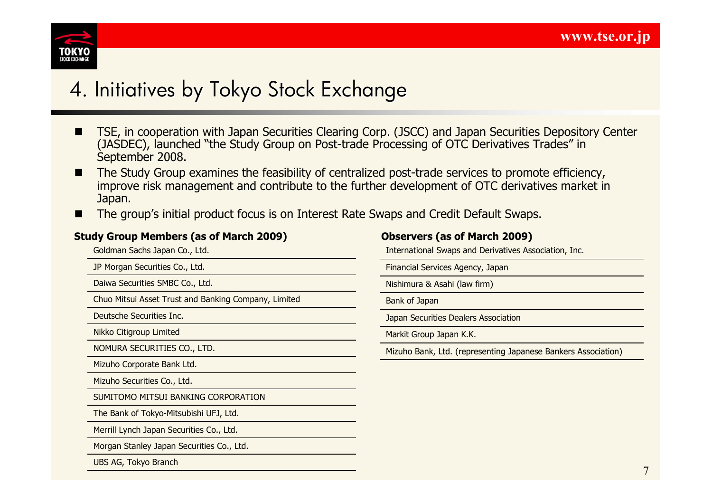

- TSE, in cooperation with Japan Securities Clearing Corp. (JSCC) and Japan Securities Depository Center (JASDEC), launched "the Study Group on Post-trade Processing of OTC Derivatives Trades" in September 2008.
- The Study Group examines the feasibility of centralized post-trade services to promote efficiency, improve risk management and contribute to the further development of OTC derivatives market in Japan.
- The group's initial product focus is on Interest Rate Swaps and Credit Default Swaps.

#### **Study Group Members (as of March 2009)**

Goldman Sachs Japan Co., Ltd.

JP Morgan Securities Co., Ltd.

Daiwa Securities SMBC Co., Ltd.

Chuo Mitsui Asset Trust and Banking Company, Limited

Deutsche Securities Inc.

Nikko Citigroup Limited

NOMURA SECURITIES CO., LTD.

Mizuho Corporate Bank Ltd.

Mizuho Securities Co., Ltd.

SUMITOMO MITSUI BANKING CORPORATION

The Bank of Tokyo-Mitsubishi UFJ, Ltd.

Merrill Lynch Japan Securities Co., Ltd.

Morgan Stanley Japan Securities Co., Ltd.

UBS AG, Tokyo Branch

#### **Observers (as of March 2009)**

International Swaps and Derivatives Association, Inc.

Financial Services Agency, Japan

Nishimura & Asahi (law firm)

Bank of Japan

Japan Securities Dealers Association

Markit Group Japan K.K.

Mizuho Bank, Ltd. (representing Japanese Bankers Association)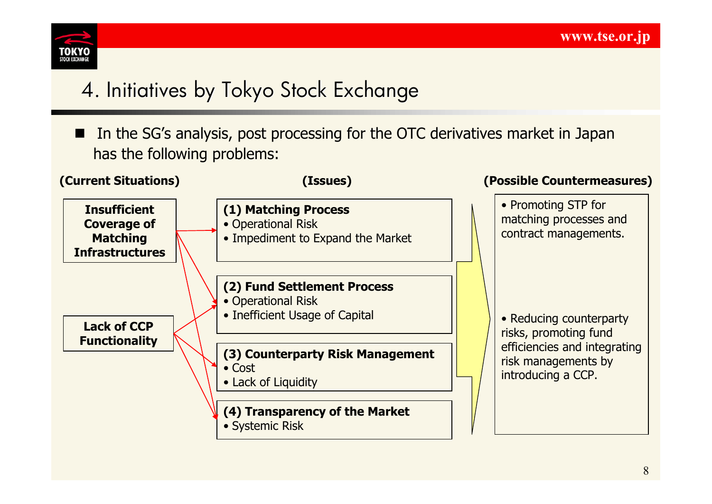

# 4. Initiatives by Tokyo Stock Exchange

■ In the SG's analysis, post processing for the OTC derivatives market in Japan has the following problems:

| <b>(Current Situations)</b>                                                                                                          | (Issues)                                                                            | (Possible Countermeasures)                                                |
|--------------------------------------------------------------------------------------------------------------------------------------|-------------------------------------------------------------------------------------|---------------------------------------------------------------------------|
| <b>Insufficient</b><br><b>Coverage of</b><br><b>Matching</b><br><b>Infrastructures</b><br><b>Lack of CCP</b><br><b>Functionality</b> | (1) Matching Process<br>• Operational Risk<br>• Impediment to Expand the Market     | • Promoting STP for<br>matching processes and<br>contract managements.    |
|                                                                                                                                      | (2) Fund Settlement Process<br>• Operational Risk<br>• Inefficient Usage of Capital | • Reducing counterparty<br>risks, promoting fund                          |
|                                                                                                                                      | (3) Counterparty Risk Management<br>$\bullet$ Cost<br>• Lack of Liquidity           | efficiencies and integrating<br>risk managements by<br>introducing a CCP. |
|                                                                                                                                      | (4) Transparency of the Market<br>• Systemic Risk                                   |                                                                           |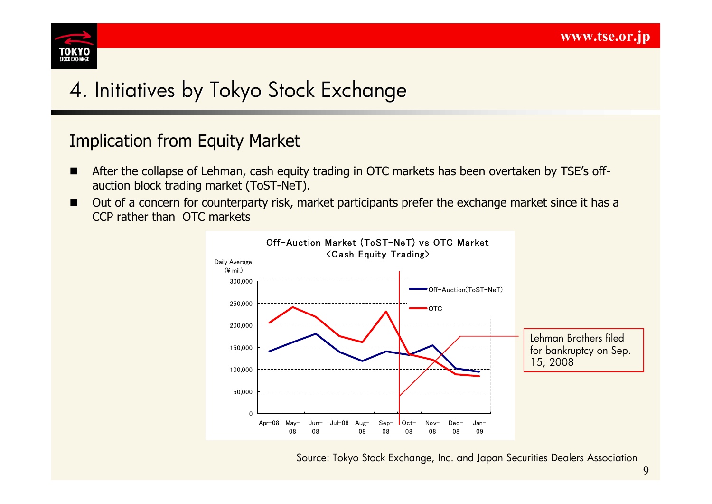

## Implication from Equity Market

- **EXTERGHMENT After the collapse of Lehman, cash equity trading in OTC markets has been overtaken by TSE's off**auction block trading market (ToST-NeT).
- Out of a concern for counterparty risk, market participants prefer the exchange market since it has a CCP rather than OTC markets



Source: Tokyo Stock Exchange, Inc. and Japan Securities Dealers Association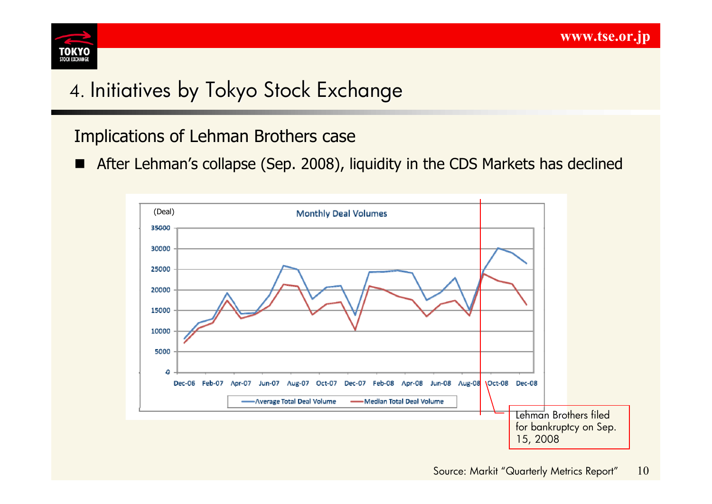

# 4. Initiatives by Tokyo Stock Exchange

## Implications of Lehman Brothers case

■ After Lehman's collapse (Sep. 2008), liquidity in the CDS Markets has declined

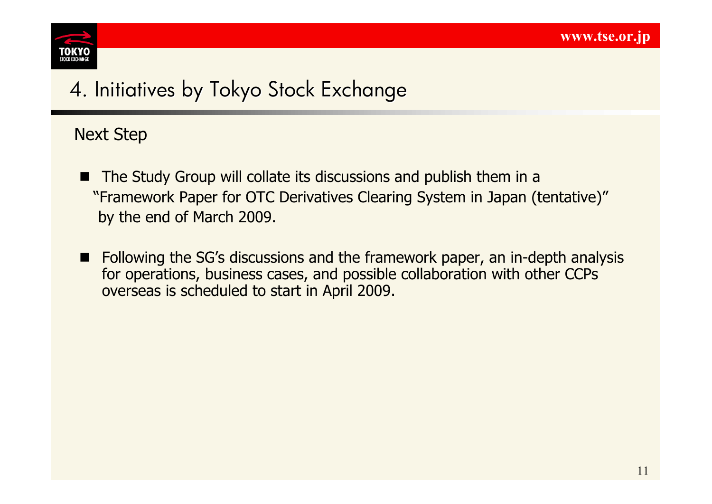

### Next Step

- The Study Group will collate its discussions and publish them in a "Framework Paper for OTC Derivatives Clearing System in Japan (tentative)" by the end of March 2009.
- Following the SG's discussions and the framework paper, an in-depth analysis for operations, business cases, and possible collaboration with other CCPs overseas is scheduled to start in April 2009.